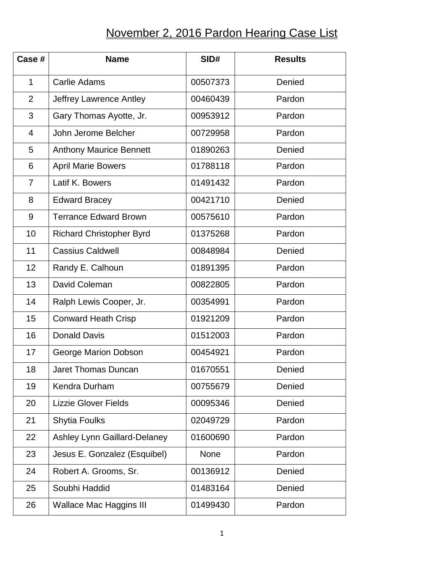## November 2, 2016 Pardon Hearing Case List

| Case #         | <b>Name</b>                     | SID#     | <b>Results</b> |
|----------------|---------------------------------|----------|----------------|
| $\mathbf{1}$   | <b>Carlie Adams</b>             | 00507373 | Denied         |
| $\overline{2}$ | Jeffrey Lawrence Antley         | 00460439 | Pardon         |
| 3              | Gary Thomas Ayotte, Jr.         | 00953912 | Pardon         |
| 4              | John Jerome Belcher             | 00729958 | Pardon         |
| 5              | <b>Anthony Maurice Bennett</b>  | 01890263 | Denied         |
| 6              | <b>April Marie Bowers</b>       | 01788118 | Pardon         |
| 7              | Latif K. Bowers                 | 01491432 | Pardon         |
| 8              | <b>Edward Bracey</b>            | 00421710 | Denied         |
| 9              | <b>Terrance Edward Brown</b>    | 00575610 | Pardon         |
| 10             | <b>Richard Christopher Byrd</b> | 01375268 | Pardon         |
| 11             | <b>Cassius Caldwell</b>         | 00848984 | Denied         |
| 12             | Randy E. Calhoun                | 01891395 | Pardon         |
| 13             | David Coleman                   | 00822805 | Pardon         |
| 14             | Ralph Lewis Cooper, Jr.         | 00354991 | Pardon         |
| 15             | <b>Conward Heath Crisp</b>      | 01921209 | Pardon         |
| 16             | <b>Donald Davis</b>             | 01512003 | Pardon         |
| 17             | George Marion Dobson            | 00454921 | Pardon         |
| 18             | <b>Jaret Thomas Duncan</b>      | 01670551 | Denied         |
| 19             | Kendra Durham                   | 00755679 | Denied         |
| 20             | <b>Lizzie Glover Fields</b>     | 00095346 | Denied         |
| 21             | Shytia Foulks                   | 02049729 | Pardon         |
| 22             | Ashley Lynn Gaillard-Delaney    | 01600690 | Pardon         |
| 23             | Jesus E. Gonzalez (Esquibel)    | None     | Pardon         |
| 24             | Robert A. Grooms, Sr.           | 00136912 | Denied         |
| 25             | Soubhi Haddid                   | 01483164 | Denied         |
| 26             | <b>Wallace Mac Haggins III</b>  | 01499430 | Pardon         |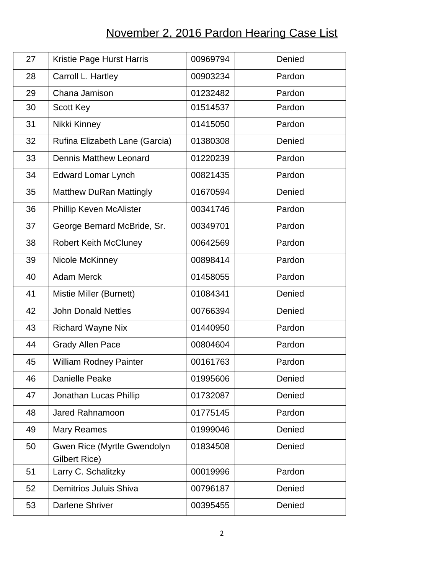## November 2, 2016 Pardon Hearing Case List

| 27 | Kristie Page Hurst Harris                                  | 00969794 | Denied |
|----|------------------------------------------------------------|----------|--------|
| 28 | Carroll L. Hartley                                         | 00903234 | Pardon |
| 29 | Chana Jamison                                              | 01232482 | Pardon |
| 30 | <b>Scott Key</b>                                           | 01514537 | Pardon |
| 31 | Nikki Kinney                                               | 01415050 | Pardon |
| 32 | Rufina Elizabeth Lane (Garcia)                             | 01380308 | Denied |
| 33 | <b>Dennis Matthew Leonard</b>                              | 01220239 | Pardon |
| 34 | <b>Edward Lomar Lynch</b>                                  | 00821435 | Pardon |
| 35 | <b>Matthew DuRan Mattingly</b>                             | 01670594 | Denied |
| 36 | <b>Phillip Keven McAlister</b>                             | 00341746 | Pardon |
| 37 | George Bernard McBride, Sr.                                | 00349701 | Pardon |
| 38 | <b>Robert Keith McCluney</b>                               | 00642569 | Pardon |
| 39 | Nicole McKinney                                            | 00898414 | Pardon |
| 40 | <b>Adam Merck</b>                                          | 01458055 | Pardon |
| 41 | Mistie Miller (Burnett)                                    | 01084341 | Denied |
| 42 | <b>John Donald Nettles</b>                                 | 00766394 | Denied |
| 43 | <b>Richard Wayne Nix</b>                                   | 01440950 | Pardon |
| 44 | <b>Grady Allen Pace</b>                                    | 00804604 | Pardon |
| 45 | William Rodney Painter                                     | 00161763 | Pardon |
| 46 | Danielle Peake                                             | 01995606 | Denied |
| 47 | Jonathan Lucas Phillip                                     | 01732087 | Denied |
| 48 | Jared Rahnamoon                                            | 01775145 | Pardon |
| 49 | <b>Mary Reames</b>                                         | 01999046 | Denied |
| 50 | <b>Gwen Rice (Myrtle Gwendolyn</b><br><b>Gilbert Rice)</b> | 01834508 | Denied |
| 51 | Larry C. Schalitzky                                        | 00019996 | Pardon |
| 52 | Demitrios Juluis Shiva                                     | 00796187 | Denied |
| 53 | <b>Darlene Shriver</b>                                     | 00395455 | Denied |